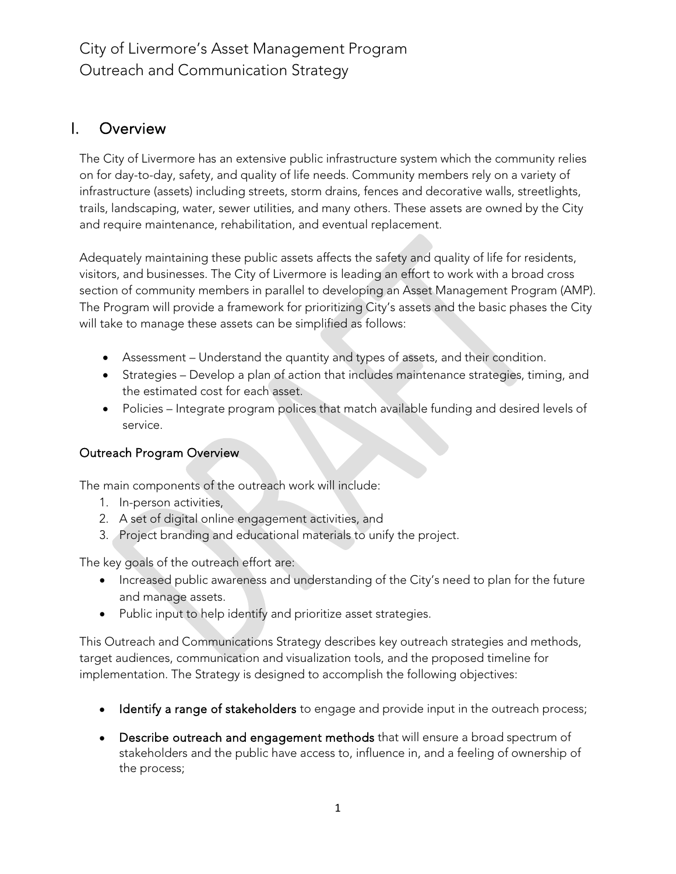# I. Overview

The City of Livermore has an extensive public infrastructure system which the community relies on for day-to-day, safety, and quality of life needs. Community members rely on a variety of infrastructure (assets) including streets, storm drains, fences and decorative walls, streetlights, trails, landscaping, water, sewer utilities, and many others. These assets are owned by the City and require maintenance, rehabilitation, and eventual replacement.

Adequately maintaining these public assets affects the safety and quality of life for residents, visitors, and businesses. The City of Livermore is leading an effort to work with a broad cross section of community members in parallel to developing an Asset Management Program (AMP). The Program will provide a framework for prioritizing City's assets and the basic phases the City will take to manage these assets can be simplified as follows:

- Assessment Understand the quantity and types of assets, and their condition.
- Strategies Develop a plan of action that includes maintenance strategies, timing, and the estimated cost for each asset.
- Policies Integrate program polices that match available funding and desired levels of service.

### Outreach Program Overview

The main components of the outreach work will include:

- 1. In-person activities,
- 2. A set of digital online engagement activities, and
- 3. Project branding and educational materials to unify the project.

The key goals of the outreach effort are:

- Increased public awareness and understanding of the City's need to plan for the future and manage assets.
- Public input to help identify and prioritize asset strategies.

This Outreach and Communications Strategy describes key outreach strategies and methods, target audiences, communication and visualization tools, and the proposed timeline for implementation. The Strategy is designed to accomplish the following objectives:

- Identify a range of stakeholders to engage and provide input in the outreach process;
- Describe outreach and engagement methods that will ensure a broad spectrum of stakeholders and the public have access to, influence in, and a feeling of ownership of the process;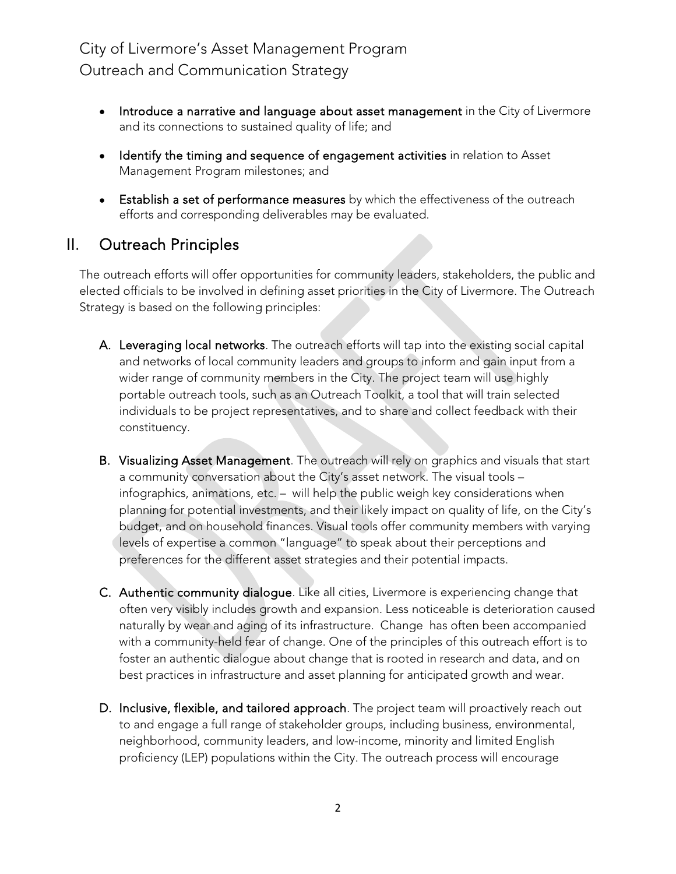- Introduce a narrative and language about asset management in the City of Livermore and its connections to sustained quality of life; and
- Identify the timing and sequence of engagement activities in relation to Asset Management Program milestones; and
- Establish a set of performance measures by which the effectiveness of the outreach efforts and corresponding deliverables may be evaluated.

## II. Outreach Principles

The outreach efforts will offer opportunities for community leaders, stakeholders, the public and elected officials to be involved in defining asset priorities in the City of Livermore. The Outreach Strategy is based on the following principles:

- A. Leveraging local networks. The outreach efforts will tap into the existing social capital and networks of local community leaders and groups to inform and gain input from a wider range of community members in the City. The project team will use highly portable outreach tools, such as an Outreach Toolkit, a tool that will train selected individuals to be project representatives, and to share and collect feedback with their constituency.
- B. Visualizing Asset Management. The outreach will rely on graphics and visuals that start a community conversation about the City's asset network. The visual tools – infographics, animations, etc. – will help the public weigh key considerations when planning for potential investments, and their likely impact on quality of life, on the City's budget, and on household finances. Visual tools offer community members with varying levels of expertise a common "language" to speak about their perceptions and preferences for the different asset strategies and their potential impacts.
- C. Authentic community dialogue. Like all cities, Livermore is experiencing change that often very visibly includes growth and expansion. Less noticeable is deterioration caused naturally by wear and aging of its infrastructure. Change has often been accompanied with a community-held fear of change. One of the principles of this outreach effort is to foster an authentic dialogue about change that is rooted in research and data, and on best practices in infrastructure and asset planning for anticipated growth and wear.
- D. Inclusive, flexible, and tailored approach. The project team will proactively reach out to and engage a full range of stakeholder groups, including business, environmental, neighborhood, community leaders, and low-income, minority and limited English proficiency (LEP) populations within the City. The outreach process will encourage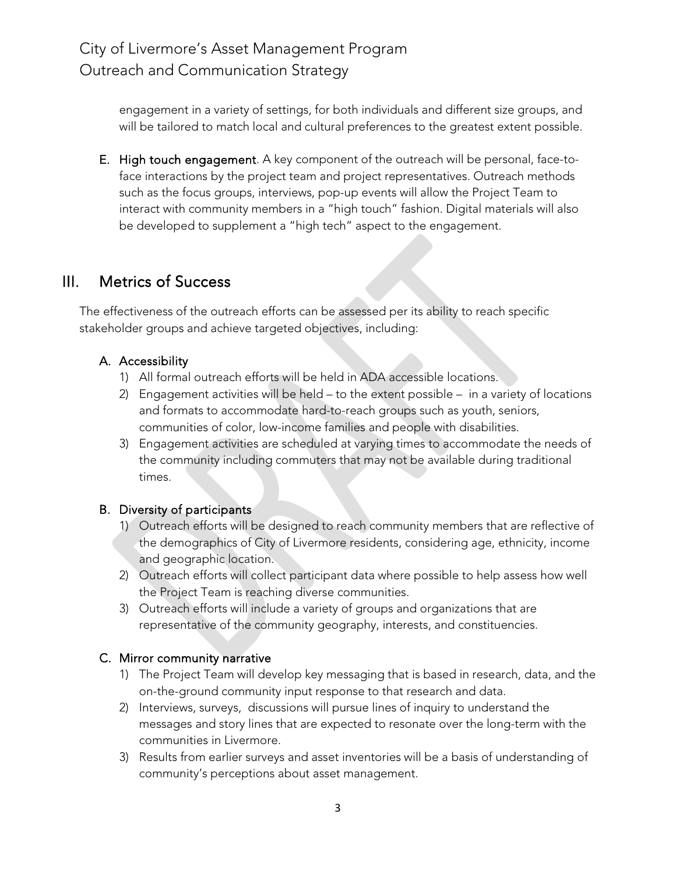engagement in a variety of settings, for both individuals and different size groups, and will be tailored to match local and cultural preferences to the greatest extent possible.

E. High touch engagement. A key component of the outreach will be personal, face-toface interactions by the project team and project representatives. Outreach methods such as the focus groups, interviews, pop-up events will allow the Project Team to interact with community members in a "high touch" fashion. Digital materials will also be developed to supplement a "high tech" aspect to the engagement.

## III. Metrics of Success

The effectiveness of the outreach efforts can be assessed per its ability to reach specific stakeholder groups and achieve targeted objectives, including:

## A. Accessibility

- 1) All formal outreach efforts will be held in ADA accessible locations.
- 2) Engagement activities will be held to the extent possible in a variety of locations and formats to accommodate hard-to-reach groups such as youth, seniors, communities of color, low-income families and people with disabilities.
- 3) Engagement activities are scheduled at varying times to accommodate the needs of the community including commuters that may not be available during traditional times.

### B. Diversity of participants

- 1) Outreach efforts will be designed to reach community members that are reflective of the demographics of City of Livermore residents, considering age, ethnicity, income and geographic location.
- 2) Outreach efforts will collect participant data where possible to help assess how well the Project Team is reaching diverse communities.
- 3) Outreach efforts will include a variety of groups and organizations that are representative of the community geography, interests, and constituencies.

### C. Mirror community narrative

- 1) The Project Team will develop key messaging that is based in research, data, and the on-the-ground community input response to that research and data.
- 2) Interviews, surveys, discussions will pursue lines of inquiry to understand the messages and story lines that are expected to resonate over the long-term with the communities in Livermore.
- 3) Results from earlier surveys and asset inventories will be a basis of understanding of community's perceptions about asset management.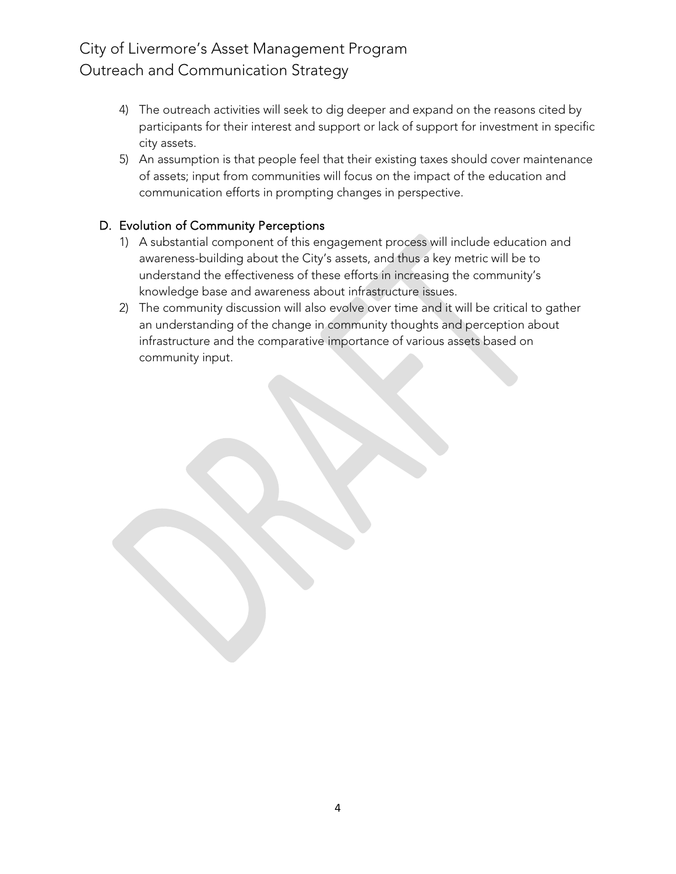- 4) The outreach activities will seek to dig deeper and expand on the reasons cited by participants for their interest and support or lack of support for investment in specific city assets.
- 5) An assumption is that people feel that their existing taxes should cover maintenance of assets; input from communities will focus on the impact of the education and communication efforts in prompting changes in perspective.

## D. Evolution of Community Perceptions

- 1) A substantial component of this engagement process will include education and awareness-building about the City's assets, and thus a key metric will be to understand the effectiveness of these efforts in increasing the community's knowledge base and awareness about infrastructure issues.
- 2) The community discussion will also evolve over time and it will be critical to gather an understanding of the change in community thoughts and perception about infrastructure and the comparative importance of various assets based on community input.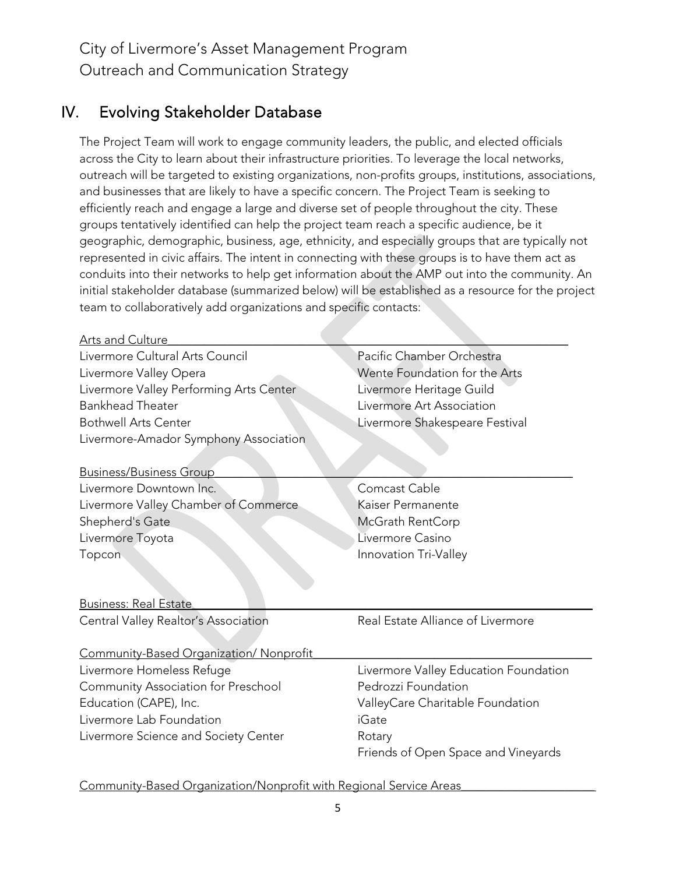## IV. Evolving Stakeholder Database

The Project Team will work to engage community leaders, the public, and elected officials across the City to learn about their infrastructure priorities. To leverage the local networks, outreach will be targeted to existing organizations, non-profits groups, institutions, associations, and businesses that are likely to have a specific concern. The Project Team is seeking to efficiently reach and engage a large and diverse set of people throughout the city. These groups tentatively identified can help the project team reach a specific audience, be it geographic, demographic, business, age, ethnicity, and especially groups that are typically not represented in civic affairs. The intent in connecting with these groups is to have them act as conduits into their networks to help get information about the AMP out into the community. An initial stakeholder database (summarized below) will be established as a resource for the project team to collaboratively add organizations and specific contacts:

| Arts and Culture                        |                                       |  |
|-----------------------------------------|---------------------------------------|--|
| Livermore Cultural Arts Council         | Pacific Chamber Orchestra             |  |
| Livermore Valley Opera                  | Wente Foundation for the Arts         |  |
| Livermore Valley Performing Arts Center | Livermore Heritage Guild              |  |
| <b>Bankhead Theater</b>                 | Livermore Art Association             |  |
| <b>Bothwell Arts Center</b>             | Livermore Shakespeare Festival        |  |
| Livermore-Amador Symphony Association   |                                       |  |
|                                         |                                       |  |
| <b>Business/Business Group</b>          |                                       |  |
| Livermore Downtown Inc.                 | Comcast Cable                         |  |
| Livermore Valley Chamber of Commerce    | Kaiser Permanente                     |  |
| Shepherd's Gate                         | McGrath RentCorp                      |  |
| Livermore Toyota                        | Livermore Casino                      |  |
| Topcon                                  | Innovation Tri-Valley                 |  |
|                                         |                                       |  |
|                                         |                                       |  |
| <b>Business: Real Estate</b>            |                                       |  |
| Central Valley Realtor's Association    | Real Estate Alliance of Livermore     |  |
|                                         |                                       |  |
| Community-Based Organization/ Nonprofit |                                       |  |
| Livermore Homeless Refuge               | Livermore Valley Education Foundation |  |
| Community Association for Preschool     | Pedrozzi Foundation                   |  |
| Education (CAPE), Inc.                  | ValleyCare Charitable Foundation      |  |
| Livermore Lab Foundation                | <b>iGate</b>                          |  |
| Livermore Science and Society Center    | Rotary                                |  |
|                                         | Friends of Open Space and Vineyards   |  |
|                                         |                                       |  |

Community-Based Organization/Nonprofit with Regional Service Areas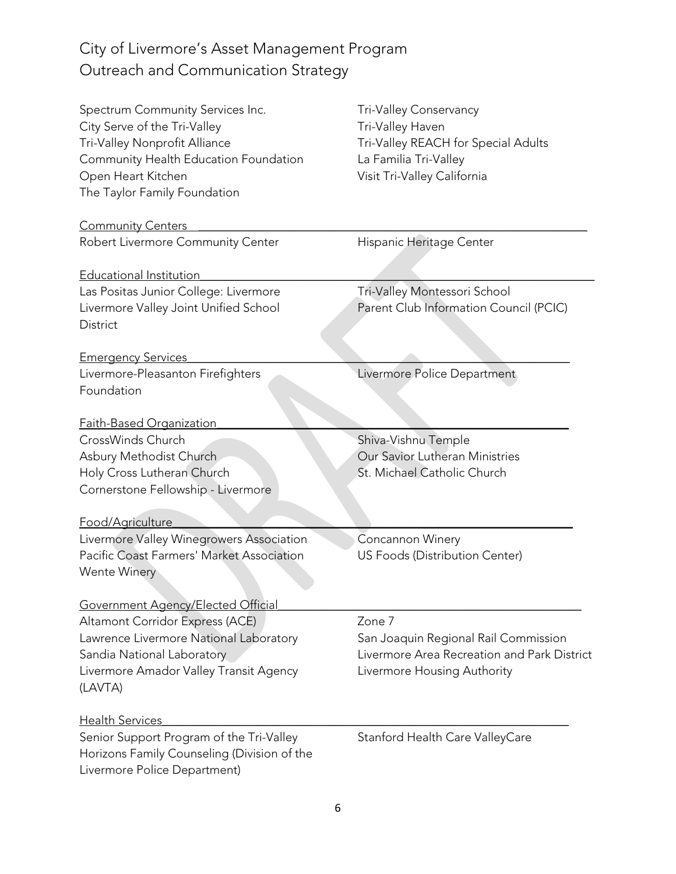| Spectrum Community Services Inc.<br>City Serve of the Tri-Valley<br>Tri-Valley Nonprofit Alliance<br>Community Health Education Foundation<br>Open Heart Kitchen<br>The Taylor Family Foundation | Tri-Valley Conservancy<br>Tri-Valley Haven<br>Tri-Valley REACH for Special Adults<br>La Familia Tri-Valley<br>Visit Tri-Valley California |  |
|--------------------------------------------------------------------------------------------------------------------------------------------------------------------------------------------------|-------------------------------------------------------------------------------------------------------------------------------------------|--|
| <b>Community Centers</b>                                                                                                                                                                         |                                                                                                                                           |  |
| Robert Livermore Community Center                                                                                                                                                                | Hispanic Heritage Center                                                                                                                  |  |
| <u>Educational Institution</u>                                                                                                                                                                   |                                                                                                                                           |  |
| Las Positas Junior College: Livermore                                                                                                                                                            | Tri-Valley Montessori School                                                                                                              |  |
| Livermore Valley Joint Unified School<br>District                                                                                                                                                | Parent Club Information Council (PCIC)                                                                                                    |  |
| <b>Emergency Services</b>                                                                                                                                                                        |                                                                                                                                           |  |
| Livermore-Pleasanton Firefighters<br>Foundation                                                                                                                                                  | Livermore Police Department                                                                                                               |  |
| Faith-Based Organization                                                                                                                                                                         |                                                                                                                                           |  |
| CrossWinds Church                                                                                                                                                                                | Shiva-Vishnu Temple                                                                                                                       |  |
| Asbury Methodist Church                                                                                                                                                                          | Our Savior Lutheran Ministries                                                                                                            |  |
| Holy Cross Lutheran Church<br>Cornerstone Fellowship - Livermore                                                                                                                                 | St. Michael Catholic Church                                                                                                               |  |
| Food/Agriculture                                                                                                                                                                                 |                                                                                                                                           |  |
| Livermore Valley Winegrowers Association                                                                                                                                                         | Concannon Winery                                                                                                                          |  |
| Pacific Coast Farmers' Market Association<br><b>Wente Winery</b>                                                                                                                                 | US Foods (Distribution Center)                                                                                                            |  |
| <u> Government Agency/Elected Official</u>                                                                                                                                                       |                                                                                                                                           |  |
| Altamont Corridor Express (ACE)                                                                                                                                                                  | Zone 7                                                                                                                                    |  |
| Lawrence Livermore National Laboratory                                                                                                                                                           | San Joaquin Regional Rail Commission                                                                                                      |  |
| Sandia National Laboratory                                                                                                                                                                       | Livermore Area Recreation and Park District                                                                                               |  |
| Livermore Amador Valley Transit Agency<br>(LAVTA)                                                                                                                                                | Livermore Housing Authority                                                                                                               |  |
| <u> Health Services</u>                                                                                                                                                                          |                                                                                                                                           |  |
| Senior Support Program of the Tri-Valley<br>Horizons Family Counseling (Division of the<br>Livermore Police Department)                                                                          | Stanford Health Care ValleyCare                                                                                                           |  |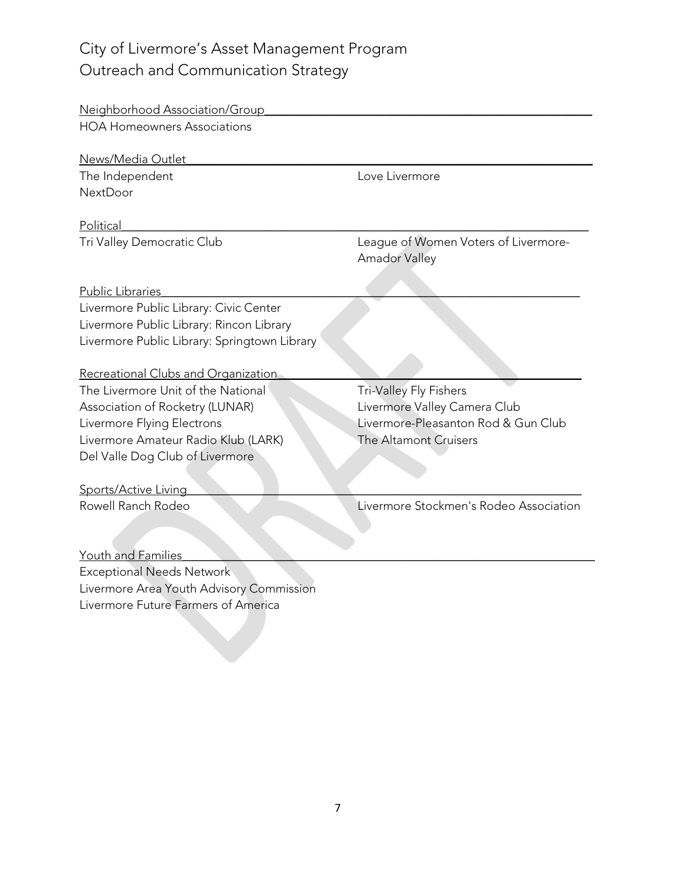| Neighborhood Association/Group               |                                                              |  |
|----------------------------------------------|--------------------------------------------------------------|--|
| <b>HOA Homeowners Associations</b>           |                                                              |  |
|                                              |                                                              |  |
| News/Media Outlet                            |                                                              |  |
| The Independent                              | Love Livermore                                               |  |
| <b>NextDoor</b>                              |                                                              |  |
| Political                                    |                                                              |  |
| Tri Valley Democratic Club                   | League of Women Voters of Livermore-<br><b>Amador Valley</b> |  |
| <b>Public Libraries</b>                      |                                                              |  |
| Livermore Public Library: Civic Center       |                                                              |  |
| Livermore Public Library: Rincon Library     |                                                              |  |
| Livermore Public Library: Springtown Library |                                                              |  |
|                                              |                                                              |  |
| Recreational Clubs and Organization          |                                                              |  |
| The Livermore Unit of the National           | Tri-Valley Fly Fishers                                       |  |
| Association of Rocketry (LUNAR)              | Livermore Valley Camera Club                                 |  |
| Livermore Flying Electrons                   | Livermore-Pleasanton Rod & Gun Club                          |  |
| Livermore Amateur Radio Klub (LARK)          | The Altamont Cruisers                                        |  |
| Del Valle Dog Club of Livermore              |                                                              |  |
|                                              |                                                              |  |
| Sports/Active Living                         |                                                              |  |
| Rowell Ranch Rodeo                           | Livermore Stockmen's Rodeo Association                       |  |
|                                              |                                                              |  |
|                                              |                                                              |  |
| Youth and Families                           |                                                              |  |
| <b>Exceptional Needs Network</b>             |                                                              |  |
| Livermore Area Youth Advisory Commission     |                                                              |  |
| Livermore Future Farmers of America          |                                                              |  |
|                                              |                                                              |  |
|                                              |                                                              |  |
|                                              |                                                              |  |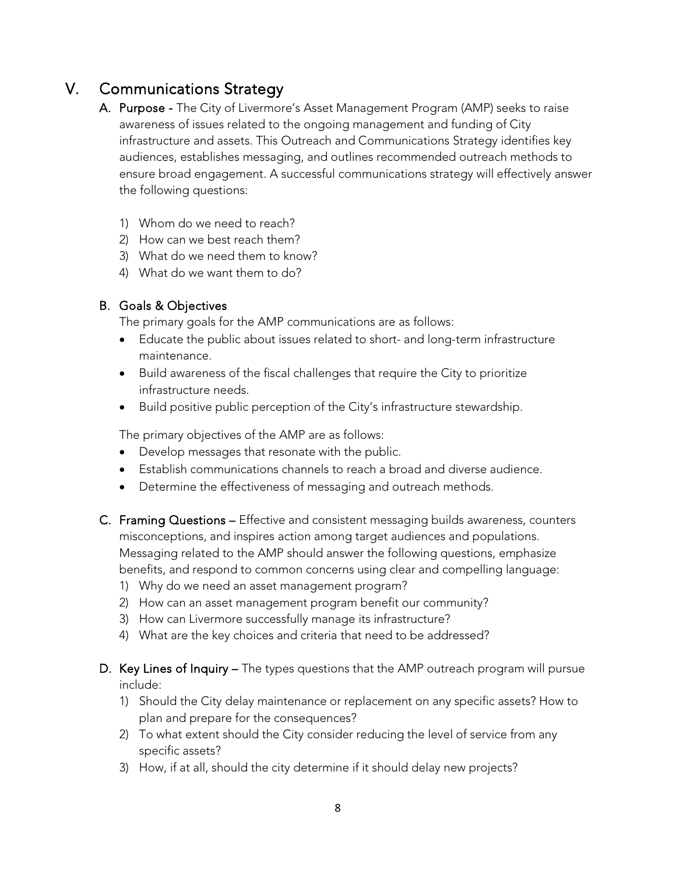# V. Communications Strategy

- A. Purpose The City of Livermore's Asset Management Program (AMP) seeks to raise awareness of issues related to the ongoing management and funding of City infrastructure and assets. This Outreach and Communications Strategy identifies key audiences, establishes messaging, and outlines recommended outreach methods to ensure broad engagement. A successful communications strategy will effectively answer the following questions:
	- 1) Whom do we need to reach?
	- 2) How can we best reach them?
	- 3) What do we need them to know?
	- 4) What do we want them to do?

### B. Goals & Objectives

The primary goals for the AMP communications are as follows:

- Educate the public about issues related to short- and long-term infrastructure maintenance.
- Build awareness of the fiscal challenges that require the City to prioritize infrastructure needs.
- Build positive public perception of the City's infrastructure stewardship.

The primary objectives of the AMP are as follows:

- Develop messages that resonate with the public.
- Establish communications channels to reach a broad and diverse audience.
- Determine the effectiveness of messaging and outreach methods.
- C. Framing Questions Effective and consistent messaging builds awareness, counters misconceptions, and inspires action among target audiences and populations. Messaging related to the AMP should answer the following questions, emphasize benefits, and respond to common concerns using clear and compelling language:
	- 1) Why do we need an asset management program?
	- 2) How can an asset management program benefit our community?
	- 3) How can Livermore successfully manage its infrastructure?
	- 4) What are the key choices and criteria that need to be addressed?
- D. Key Lines of Inquiry The types questions that the AMP outreach program will pursue include:
	- 1) Should the City delay maintenance or replacement on any specific assets? How to plan and prepare for the consequences?
	- 2) To what extent should the City consider reducing the level of service from any specific assets?
	- 3) How, if at all, should the city determine if it should delay new projects?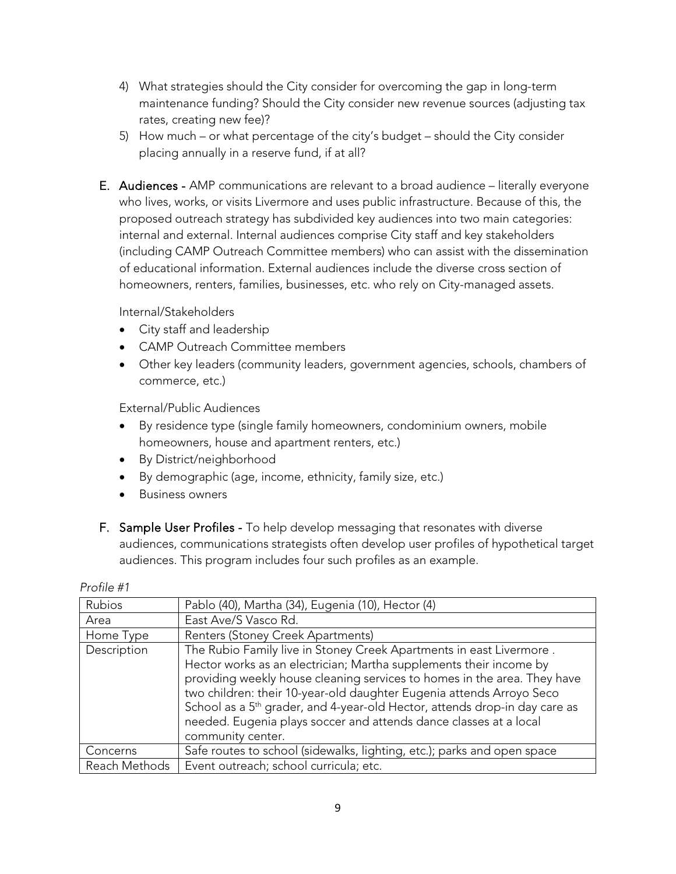- 4) What strategies should the City consider for overcoming the gap in long-term maintenance funding? Should the City consider new revenue sources (adjusting tax rates, creating new fee)?
- 5) How much or what percentage of the city's budget should the City consider placing annually in a reserve fund, if at all?
- E. Audiences AMP communications are relevant to a broad audience literally everyone who lives, works, or visits Livermore and uses public infrastructure. Because of this, the proposed outreach strategy has subdivided key audiences into two main categories: internal and external. Internal audiences comprise City staff and key stakeholders (including CAMP Outreach Committee members) who can assist with the dissemination of educational information. External audiences include the diverse cross section of homeowners, renters, families, businesses, etc. who rely on City-managed assets.

Internal/Stakeholders

- City staff and leadership
- CAMP Outreach Committee members
- Other key leaders (community leaders, government agencies, schools, chambers of commerce, etc.)

External/Public Audiences

- By residence type (single family homeowners, condominium owners, mobile homeowners, house and apartment renters, etc.)
- By District/neighborhood
- By demographic (age, income, ethnicity, family size, etc.)
- Business owners
- F. Sample User Profiles To help develop messaging that resonates with diverse audiences, communications strategists often develop user profiles of hypothetical target audiences. This program includes four such profiles as an example.

| Rubios        | Pablo (40), Martha (34), Eugenia (10), Hector (4)                                      |
|---------------|----------------------------------------------------------------------------------------|
| Area          | East Ave/S Vasco Rd.                                                                   |
| Home Type     | Renters (Stoney Creek Apartments)                                                      |
| Description   | The Rubio Family live in Stoney Creek Apartments in east Livermore.                    |
|               | Hector works as an electrician; Martha supplements their income by                     |
|               | providing weekly house cleaning services to homes in the area. They have               |
|               | two children: their 10-year-old daughter Eugenia attends Arroyo Seco                   |
|               | School as a 5 <sup>th</sup> grader, and 4-year-old Hector, attends drop-in day care as |
|               | needed. Eugenia plays soccer and attends dance classes at a local                      |
|               | community center.                                                                      |
| Concerns      | Safe routes to school (sidewalks, lighting, etc.); parks and open space                |
| Reach Methods | Event outreach; school curricula; etc.                                                 |

#### *Profile #1*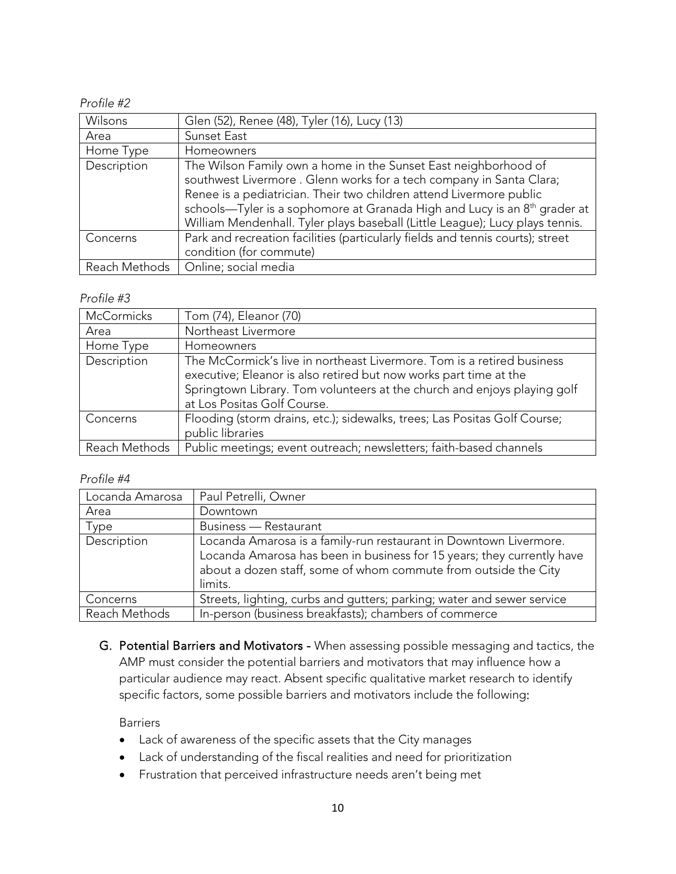### *Profile #2*

| Wilsons     | Glen (52), Renee (48), Tyler (16), Lucy (13)                                                                                                                                                                                                                                                                                                                                           |
|-------------|----------------------------------------------------------------------------------------------------------------------------------------------------------------------------------------------------------------------------------------------------------------------------------------------------------------------------------------------------------------------------------------|
| Area        | Sunset East                                                                                                                                                                                                                                                                                                                                                                            |
| Home Type   | Homeowners                                                                                                                                                                                                                                                                                                                                                                             |
| Description | The Wilson Family own a home in the Sunset East neighborhood of<br>southwest Livermore. Glenn works for a tech company in Santa Clara;<br>Renee is a pediatrician. Their two children attend Livermore public<br>schools—Tyler is a sophomore at Granada High and Lucy is an 8 <sup>th</sup> grader at<br>William Mendenhall. Tyler plays baseball (Little League); Lucy plays tennis. |
| Concerns    | Park and recreation facilities (particularly fields and tennis courts); street<br>condition (for commute)                                                                                                                                                                                                                                                                              |
|             | Reach Methods   Online; social media                                                                                                                                                                                                                                                                                                                                                   |

#### *Profile #3*

| <b>McCormicks</b> | Tom (74), Eleanor (70)                                                                                                                                                                                                                                 |
|-------------------|--------------------------------------------------------------------------------------------------------------------------------------------------------------------------------------------------------------------------------------------------------|
| Area              | Northeast Livermore                                                                                                                                                                                                                                    |
| Home Type         | Homeowners                                                                                                                                                                                                                                             |
| Description       | The McCormick's live in northeast Livermore. Tom is a retired business<br>executive; Eleanor is also retired but now works part time at the<br>Springtown Library. Tom volunteers at the church and enjoys playing golf<br>at Los Positas Golf Course. |
| Concerns          | Flooding (storm drains, etc.); sidewalks, trees; Las Positas Golf Course;<br>public libraries                                                                                                                                                          |
| Reach Methods     | Public meetings; event outreach; newsletters; faith-based channels                                                                                                                                                                                     |

#### *Profile #4*

| Locanda Amarosa | Paul Petrelli, Owner                                                                                                                                                                                                      |
|-----------------|---------------------------------------------------------------------------------------------------------------------------------------------------------------------------------------------------------------------------|
| Area            | Downtown                                                                                                                                                                                                                  |
| Type            | <b>Business</b> - Restaurant                                                                                                                                                                                              |
| Description     | Locanda Amarosa is a family-run restaurant in Downtown Livermore.<br>Locanda Amarosa has been in business for 15 years; they currently have<br>about a dozen staff, some of whom commute from outside the City<br>limits. |
| Concerns        | Streets, lighting, curbs and gutters; parking; water and sewer service                                                                                                                                                    |
| Reach Methods   | In-person (business breakfasts); chambers of commerce                                                                                                                                                                     |

G. Potential Barriers and Motivators - When assessing possible messaging and tactics, the AMP must consider the potential barriers and motivators that may influence how a particular audience may react. Absent specific qualitative market research to identify specific factors, some possible barriers and motivators include the following:

#### Barriers

- Lack of awareness of the specific assets that the City manages
- Lack of understanding of the fiscal realities and need for prioritization
- Frustration that perceived infrastructure needs aren't being met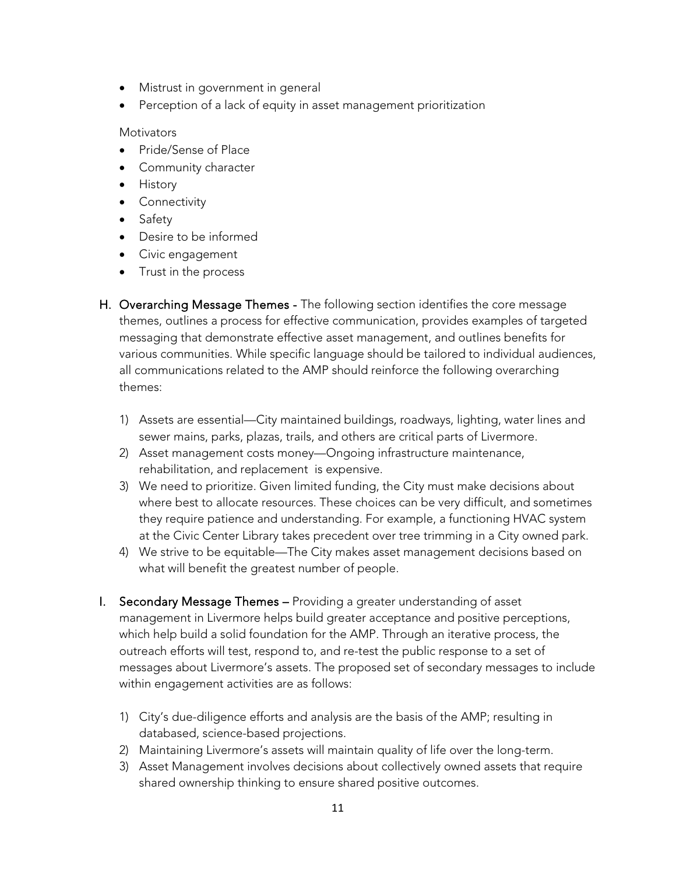- Mistrust in government in general
- Perception of a lack of equity in asset management prioritization

#### **Motivators**

- Pride/Sense of Place
- Community character
- History
- Connectivity
- Safety
- Desire to be informed
- Civic engagement
- Trust in the process
- H. Overarching Message Themes The following section identifies the core message themes, outlines a process for effective communication, provides examples of targeted messaging that demonstrate effective asset management, and outlines benefits for various communities. While specific language should be tailored to individual audiences, all communications related to the AMP should reinforce the following overarching themes:
	- 1) Assets are essential—City maintained buildings, roadways, lighting, water lines and sewer mains, parks, plazas, trails, and others are critical parts of Livermore.
	- 2) Asset management costs money—Ongoing infrastructure maintenance, rehabilitation, and replacement is expensive.
	- 3) We need to prioritize. Given limited funding, the City must make decisions about where best to allocate resources. These choices can be very difficult, and sometimes they require patience and understanding. For example, a functioning HVAC system at the Civic Center Library takes precedent over tree trimming in a City owned park.
	- 4) We strive to be equitable—The City makes asset management decisions based on what will benefit the greatest number of people.
- I. Secondary Message Themes Providing a greater understanding of asset management in Livermore helps build greater acceptance and positive perceptions, which help build a solid foundation for the AMP. Through an iterative process, the outreach efforts will test, respond to, and re-test the public response to a set of messages about Livermore's assets. The proposed set of secondary messages to include within engagement activities are as follows:
	- 1) City's due-diligence efforts and analysis are the basis of the AMP; resulting in databased, science-based projections.
	- 2) Maintaining Livermore's assets will maintain quality of life over the long-term.
	- 3) Asset Management involves decisions about collectively owned assets that require shared ownership thinking to ensure shared positive outcomes.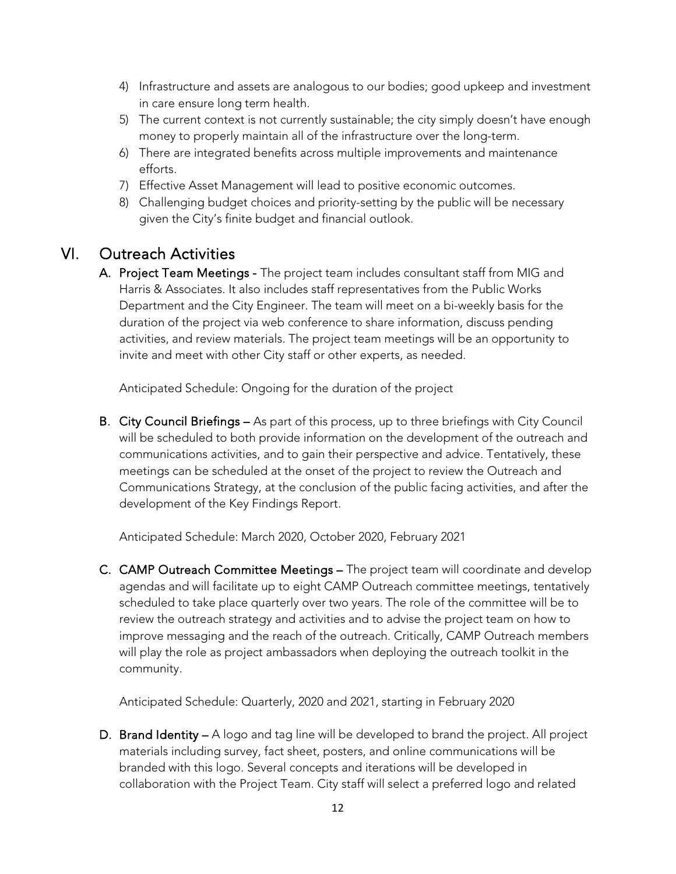- 4) Infrastructure and assets are analogous to our bodies; good upkeep and investment in care ensure long term health.
- 5) The current context is not currently sustainable; the city simply doesn't have enough money to properly maintain all of the infrastructure over the long-term.
- 6) There are integrated benefits across multiple improvements and maintenance efforts.
- 7) Effective Asset Management will lead to positive economic outcomes.
- 8) Challenging budget choices and priority-setting by the public will be necessary given the City's finite budget and financial outlook.

## VI. Outreach Activities

A. Project Team Meetings - The project team includes consultant staff from MIG and Harris & Associates. It also includes staff representatives from the Public Works Department and the City Engineer. The team will meet on a bi-weekly basis for the duration of the project via web conference to share information, discuss pending activities, and review materials. The project team meetings will be an opportunity to invite and meet with other City staff or other experts, as needed.

Anticipated Schedule: Ongoing for the duration of the project

B. City Council Briefings – As part of this process, up to three briefings with City Council will be scheduled to both provide information on the development of the outreach and communications activities, and to gain their perspective and advice. Tentatively, these meetings can be scheduled at the onset of the project to review the Outreach and Communications Strategy, at the conclusion of the public facing activities, and after the development of the Key Findings Report.

Anticipated Schedule: March 2020, October 2020, February 2021

C. CAMP Outreach Committee Meetings – The project team will coordinate and develop agendas and will facilitate up to eight CAMP Outreach committee meetings, tentatively scheduled to take place quarterly over two years. The role of the committee will be to review the outreach strategy and activities and to advise the project team on how to improve messaging and the reach of the outreach. Critically, CAMP Outreach members will play the role as project ambassadors when deploying the outreach toolkit in the community.

Anticipated Schedule: Quarterly, 2020 and 2021, starting in February 2020

D. Brand Identity – A logo and tag line will be developed to brand the project. All project materials including survey, fact sheet, posters, and online communications will be branded with this logo. Several concepts and iterations will be developed in collaboration with the Project Team. City staff will select a preferred logo and related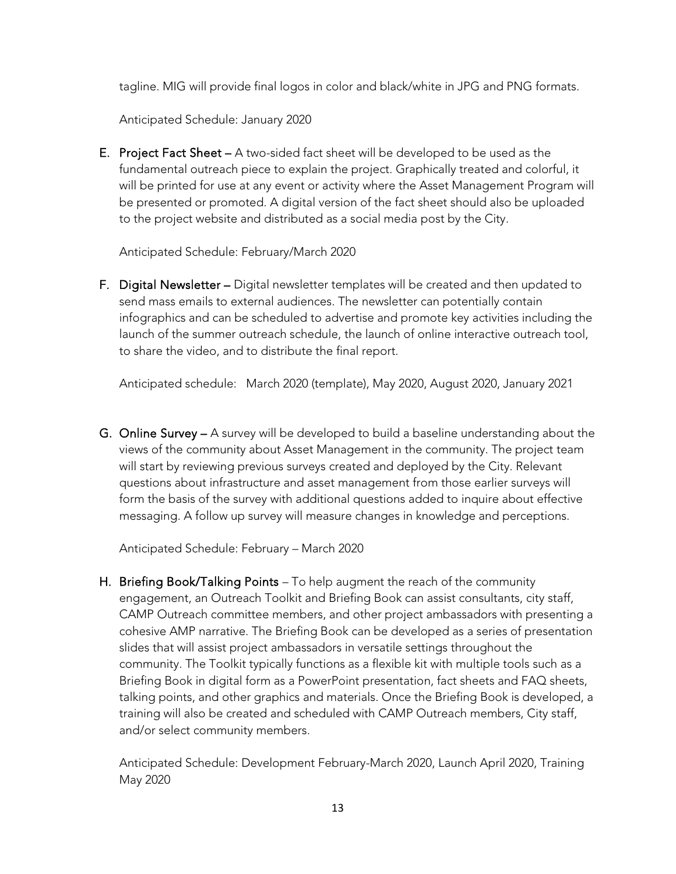tagline. MIG will provide final logos in color and black/white in JPG and PNG formats.

Anticipated Schedule: January 2020

E. Project Fact Sheet – A two-sided fact sheet will be developed to be used as the fundamental outreach piece to explain the project. Graphically treated and colorful, it will be printed for use at any event or activity where the Asset Management Program will be presented or promoted. A digital version of the fact sheet should also be uploaded to the project website and distributed as a social media post by the City.

Anticipated Schedule: February/March 2020

F. Digital Newsletter – Digital newsletter templates will be created and then updated to send mass emails to external audiences. The newsletter can potentially contain infographics and can be scheduled to advertise and promote key activities including the launch of the summer outreach schedule, the launch of online interactive outreach tool, to share the video, and to distribute the final report.

Anticipated schedule: March 2020 (template), May 2020, August 2020, January 2021

G. Online Survey – A survey will be developed to build a baseline understanding about the views of the community about Asset Management in the community. The project team will start by reviewing previous surveys created and deployed by the City. Relevant questions about infrastructure and asset management from those earlier surveys will form the basis of the survey with additional questions added to inquire about effective messaging. A follow up survey will measure changes in knowledge and perceptions.

Anticipated Schedule: February – March 2020

H. Briefing Book/Talking Points - To help augment the reach of the community engagement, an Outreach Toolkit and Briefing Book can assist consultants, city staff, CAMP Outreach committee members, and other project ambassadors with presenting a cohesive AMP narrative. The Briefing Book can be developed as a series of presentation slides that will assist project ambassadors in versatile settings throughout the community. The Toolkit typically functions as a flexible kit with multiple tools such as a Briefing Book in digital form as a PowerPoint presentation, fact sheets and FAQ sheets, talking points, and other graphics and materials. Once the Briefing Book is developed, a training will also be created and scheduled with CAMP Outreach members, City staff, and/or select community members.

Anticipated Schedule: Development February-March 2020, Launch April 2020, Training May 2020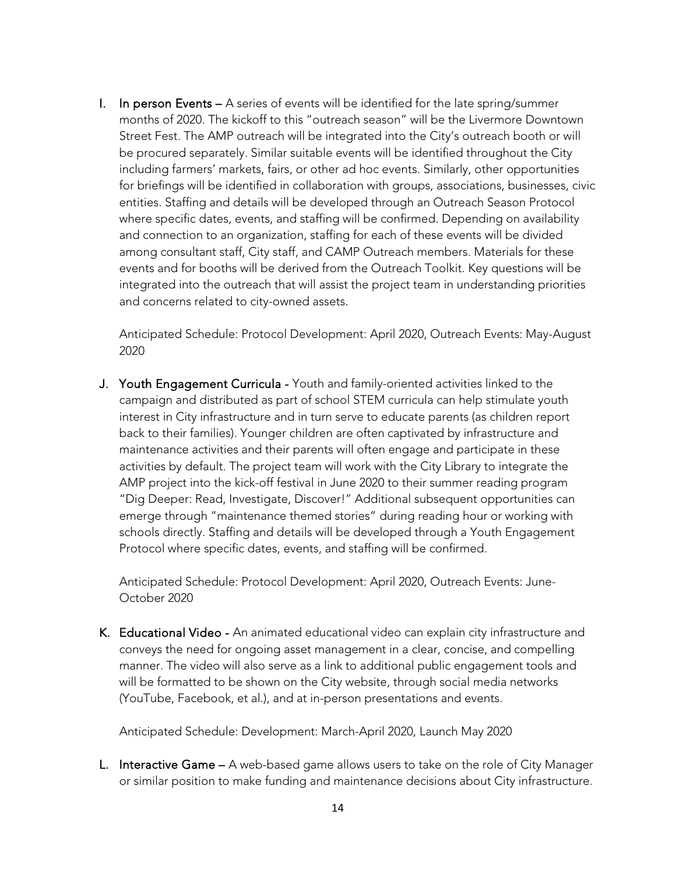I. In person Events – A series of events will be identified for the late spring/summer months of 2020. The kickoff to this "outreach season" will be the Livermore Downtown Street Fest. The AMP outreach will be integrated into the City's outreach booth or will be procured separately. Similar suitable events will be identified throughout the City including farmers' markets, fairs, or other ad hoc events. Similarly, other opportunities for briefings will be identified in collaboration with groups, associations, businesses, civic entities. Staffing and details will be developed through an Outreach Season Protocol where specific dates, events, and staffing will be confirmed. Depending on availability and connection to an organization, staffing for each of these events will be divided among consultant staff, City staff, and CAMP Outreach members. Materials for these events and for booths will be derived from the Outreach Toolkit. Key questions will be integrated into the outreach that will assist the project team in understanding priorities and concerns related to city-owned assets.

Anticipated Schedule: Protocol Development: April 2020, Outreach Events: May-August 2020

J. Youth Engagement Curricula - Youth and family-oriented activities linked to the campaign and distributed as part of school STEM curricula can help stimulate youth interest in City infrastructure and in turn serve to educate parents (as children report back to their families). Younger children are often captivated by infrastructure and maintenance activities and their parents will often engage and participate in these activities by default. The project team will work with the City Library to integrate the AMP project into the kick-off festival in June 2020 to their summer reading program "Dig Deeper: Read, Investigate, Discover!" Additional subsequent opportunities can emerge through "maintenance themed stories" during reading hour or working with schools directly. Staffing and details will be developed through a Youth Engagement Protocol where specific dates, events, and staffing will be confirmed.

Anticipated Schedule: Protocol Development: April 2020, Outreach Events: June-October 2020

K. Educational Video - An animated educational video can explain city infrastructure and conveys the need for ongoing asset management in a clear, concise, and compelling manner. The video will also serve as a link to additional public engagement tools and will be formatted to be shown on the City website, through social media networks (YouTube, Facebook, et al.), and at in-person presentations and events.

Anticipated Schedule: Development: March-April 2020, Launch May 2020

L. Interactive Game - A web-based game allows users to take on the role of City Manager or similar position to make funding and maintenance decisions about City infrastructure.